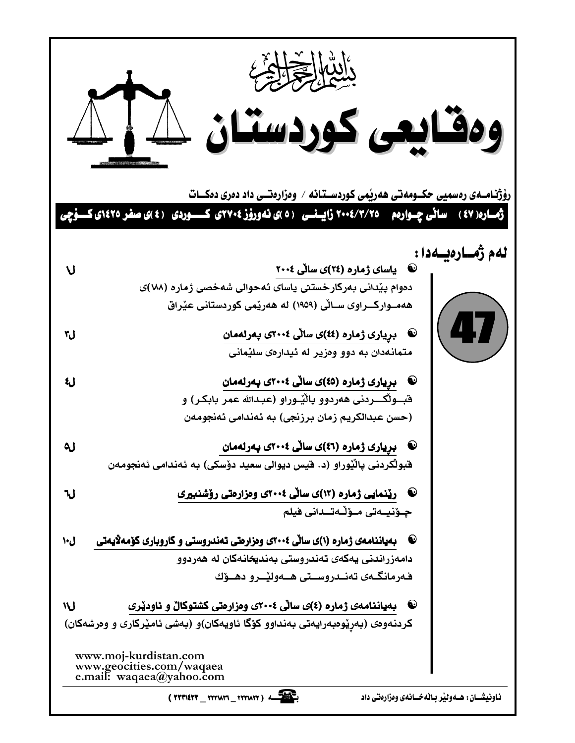|                                                                                                                                                                              | ومقايعى كوردستان كليك<br>رۆژنـامــەی رەسمیی حکــومەتـی ھەرپمی کوردســتـانـه / وەزارەتــی داد دەری دەكـــات<br>ژمــاره( ٤٧ )    ساٽي چــوارهم     ٧٥/ ٢٠٠٤ زايــنــي   ( ٥ )ي نـهوروّز ٢٧٠٤ي  ڪـــــوردي   ( ٤ )ي صفر ١٤٢٥ي ڪـــوّچي |
|------------------------------------------------------------------------------------------------------------------------------------------------------------------------------|-------------------------------------------------------------------------------------------------------------------------------------------------------------------------------------------------------------------------------------|
|                                                                                                                                                                              |                                                                                                                                                                                                                                     |
| ប                                                                                                                                                                            | لەم ژەسارەيسەدا :<br><b>@ یاسای ژماره (۲٤)ی سالی ۲۰۰٤</b>                                                                                                                                                                           |
|                                                                                                                                                                              | دەوام پێدانى بەركارخستنى ياساى ئەحوالى شەخصى ژمارە (١٨٨)ى                                                                                                                                                                           |
|                                                                                                                                                                              | هەمــواركـــراوى ســاٽى (١٩٥٩) له هەرێمى كوردستانى عێراق                                                                                                                                                                            |
|                                                                                                                                                                              | 47                                                                                                                                                                                                                                  |
| ل٣                                                                                                                                                                           | @۔ برِيارى ژمارە (٤٤)ى ساڵى ٢٠٠٤ى پەرلەمان                                                                                                                                                                                          |
|                                                                                                                                                                              | متمانهدان به دوو وهزير له ئيدارهى سليْمانى                                                                                                                                                                                          |
| رع                                                                                                                                                                           | <sup>@</sup> بريارى ژمارە (٤٥)ى ساٽى ٢٠٠٤ى پەرلەمان                                                                                                                                                                                 |
|                                                                                                                                                                              | قبــولْكـــردنى هەردوو پالْيْــوراو (عبـدالله عمر بابكـر) و                                                                                                                                                                         |
|                                                                                                                                                                              | (حسن عبدالكريم زمان برزنجى) به ئەندامى ئەنجومەن                                                                                                                                                                                     |
| ل٥                                                                                                                                                                           | @۔ بریاری ژمارہ (٤٦)ی ساٽي ٢٠٠٤ي پهرلهمان                                                                                                                                                                                           |
|                                                                                                                                                                              | قبولگردنی پالْیْوراو (د. قیس دیوالی سعید دۆسکی) به ئەندامی ئەنجومەن                                                                                                                                                                 |
|                                                                                                                                                                              | ریّنمایی ژماره (۱۲)ی سالّی ۲۰۰٤ی وهزارهتی روّشنبیری                                                                                                                                                                                 |
| ٦J                                                                                                                                                                           | جـۆنيــەتى مــۆڵـەتـــدانى فيلم                                                                                                                                                                                                     |
|                                                                                                                                                                              |                                                                                                                                                                                                                                     |
| ل۱۰                                                                                                                                                                          | بهیاننامهی ژماره (۱)ی سالّی ۲۰۰٤ی وهزارهتی تهندروستی و کاروباری کوّمهلایهتی<br>$\bullet$                                                                                                                                            |
|                                                                                                                                                                              | دامەزراندنى يەكەى تەندروستى بەنديخانەكان لە ھەردوو                                                                                                                                                                                  |
|                                                                                                                                                                              | فەرمانگەى تەنـدروســتى ھــەولێــرو دھــۆك                                                                                                                                                                                           |
| ١V                                                                                                                                                                           | بهیاننامهی ژماره (٤)ی سالّی ٢٠٠٤ی وهزارهتی کشتوکالْ و ئاودێری<br>$\bullet$                                                                                                                                                          |
|                                                                                                                                                                              | کردنهوهی (بهرِیْومبهرایهتی بهنداوو کۆگا ئاویهکان)و (بهشی ئامیْرکاری و وهرشهکان)                                                                                                                                                     |
| www.moj-kurdistan.com<br>www.geocities.com/waqaea<br>e.mail: waqaea@yahoo.com<br>$($ TYTIETT __ TYTIATT __ TTTIATT) $4$<br>ناونیشــان : هــهولیْر بـالْهخــانهی وهزارهتی داد |                                                                                                                                                                                                                                     |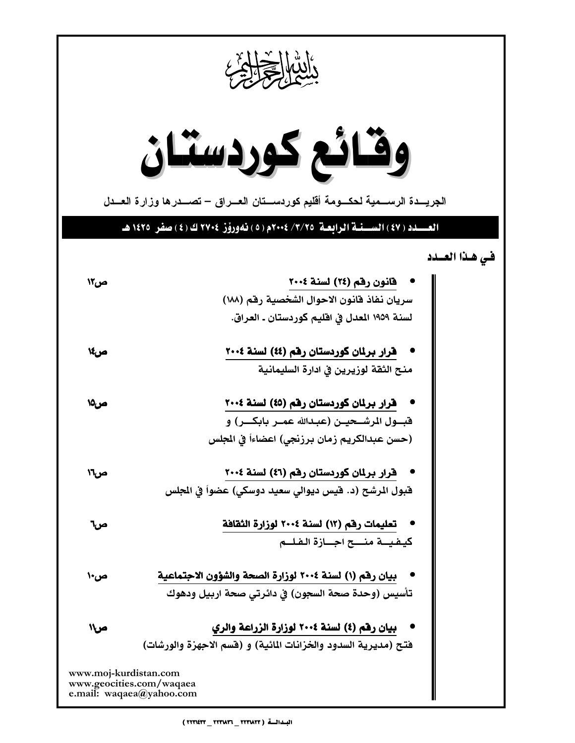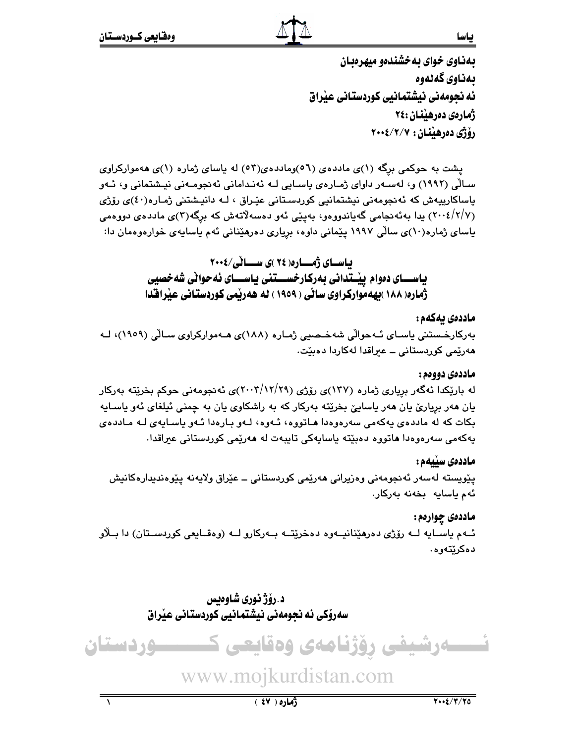بهناوی خوای به خشندهو میهرهبان ىەناوى گەنەوە ئه نحومهني نيشتمانيي كوردستاني عيراق ژمارەي دەرھىننان :٢٤ رۆژى دەرھێنان : ٢٠٠٤/٢/٠٠٤

پشت به حوکمی برگه (۱)ی ماددهی (۵٦)وماددهی(۵۲) له پاسای ژماره (۱)ی ههموارکراوی سـالّی (۱۹۹۲) و، لەسـەر داوای ژمـارەی ياسـايی لـه ئەنـدامانی ئەنجومـەنی نيـشتمانی و، ئـەو باساکارییەش کە ئەنجومەنى نیشتمانیى کوردسىتانى عێراق ، لـە دانیـشتنى ژمـارە(٤٠)ى رۆژى (۲/۷/ ۲۰۰٤) يدا بەئەنجامى گەياندورەو، بەينى ئەو دەسەلاتەش كە برگە(۳)ى ماددەي دورەمى یاسای ژماره(۱۰)ی سالّی ۱۹۹۷ پیّمانی داوه، بریاری دهرهیّنانی ئهم یاسایهی خوارهوهمان دا:

> بیاسسای ژمسیاره( ۲۶ )ی سیسیا ٹی/۲۰۰۶ یاســـای دووام پیْــتدانی بهرکـارخســـتنی یـاســـای ئهحوانی شهخصیی ژماره( ۱۸۸ )بهه موارکراوی ساٽی ( ۱۹۵۹ ) له ههريمی کوردستانی عيراقدا

#### ماددەى ىەكەم :

بەركارخىستنى ياسـاي ئـﻪحوالْي شەخـصىي ژمـارە (١٨٨)ى ھـﻪمواركراوي سـالْي (١٩٥٩)، ك هەرێمى كوردستانى ــ عیراقدا لەكاردا دەبێت.

#### ماددەي دووەم :

له باریکدا ئهگەر بریاری ژماره (۱۳۷)ی رۆژی (۲۰۰۳/۱۲/۲۹)ی ئەنجومەنی حوکم بخریته بەرکار یان هەر بریاریٌ یان هەر یاساییٌ بخریْته بەرکار که به راشکاوی یان به چمنی ئیلغای ئەو یاسـایه بکات که له ماددهی یهکهمی سهرهوهدا هـاتووه، ئـهوه، لـهو بـارهدا ئـهو یاسـایهی لـه مـاددهی يەكەمى سەرەرەدا ماتورە دەبێتە ياسايەكى تايبەت لە مەرێمى كوردستانى عىراقدا.

#### ماددەى سىيەم :

يٽويسته لەسەر ئەنجومەنى وەزيرانى ھەرێمى كوردستانى ــ عٽراق ولايەنە يێوەندىدارەكانيش ئەم ياسايە بخەنە بەركار.

ماددهۍ چوارهم:

ئــهم ياســايه لــه رۆژى دەرھێنانيــهوه دەخرێتــه بــهركارو لــه (وەقــايعى كوردســتان) دا بــلاو دەكرێتەوھ.

> د .رؤژ نوري شاوهيس سەرۆكى ئە نجومەنى نيشتمانيى كوردستانى عيراق



# www.mojkurdistan.com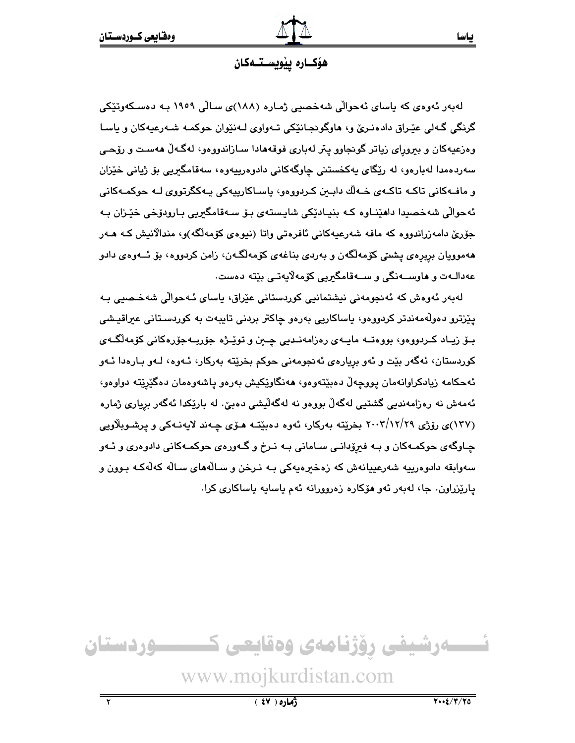#### هۆكــارە يێويســتــەكـان

لەبەر ئەوەي كە ياساي ئەحوالى شەخصىي ژمارە (١٨٨)ى سالى ١٩٥٩ بـە دەسـكەوتێكى گرنگي گـهلي عێـراق دادهنـرێ و، هاوگوئجـانێکي تـهواوي لـهنێوان حوکمـه شـهرعيهکان و ياسـا وهزعیهکان و بیرورای زیاتر گونجاوو یتر لهباری فوقههادا سـازاندووهو، لهگـهڵ ههسـت و رۆحـی سەردەمدا لەبارەو، لە رێگاى پەكخستنى چاوگەكانى دادوەرپپەوە، سەقامگىرىي بۆ ژيانى خێزان و ماف+کانی تاک+ تاک+ی خ+لّك دابـبن کـردووهو، باسـاکارییهکی پـ+کگرتووی لــه حوکمـ+کانی ئەحوالّى شەخصيدا داھێنـاوە كـه بنيـادێكى شايـستەي بـۆ سـەقامگىريى بـارودۆخى خێـزان بـه جۆرێ دامەزراندووە كە مافە شەرعيەكانى ئافرەتى واتا (نيوەي كۆمەلگە)و، مندالانيش كـە ھـەر هەموويان بريرەي يشتى كۆمەلگەن و بەردى بناغەي كۆمەلگەن، زامن كردووە، بۆ ئــەوەي دادو عەدالـەت و ھاوســەنگى و ســەقامگىريى كۆمەلايەتـى بێتە دەست.

لەبەر ئەوەش كە ئەنجومەنى نيشتمانيى كوردستانى عێراق، ياساي ئـەحوالى شەخـصىي بـە يێزترو دەوڵەمەندتر كردووەو، ياساكاريى بەرەو چاكتر بردنى تايبەت بە كوردسىتانى عىراقيىشى بــۆ زيــاد كــردووەو، بووەتــه مايــهى رەزامەنــديى چــين و توپْــژه جۆربــهجۆرەكانى كۆمەلگــهى کوردستان، ئەگەر بێت و ئەو بريارەي ئەنجومەنى حوکم بخرێتە بەرکار، ئـەوە، لـەو بـارەدا ئـەو ئەحكامە زيادكراوانەمان پووچەلّ دەبێتەوەو، ھەنگاوێكيش بەرەو پاشەوەمان دەگێرێتە دواوەو، ئەمەش نە رەزامەندىي گشتىي لەگەلّ بورەر نە لەگەلّىشى دەبىّ. لە بارێكدا ئەگەر بريارى ژمارە (۱۳۷)ی رۆژی ۲۰۰۳/۱۲/۲۹ بخریته بهرکار، ئەوه دەبیته هـۆی چـەند لايەنـەکی و پرشـوبلاويی چـاوگهی حوکمـهکان و بـه فیرۆدانـی سـامانی بـه نـرخ و گـهورهی حوکمـهکانی دادوهری و ئـهو سەوابقە دادوەرييە شەرعييانەش كە زەخىرەپەكى بـە نـرخن و سـالْەھاي سـالْه كەلْەكـە بـوون و پارێزراون. جا، لەبەر ئەو ھۆكارە زەروورانە ئەم ياسايە ياساكارى كرا.

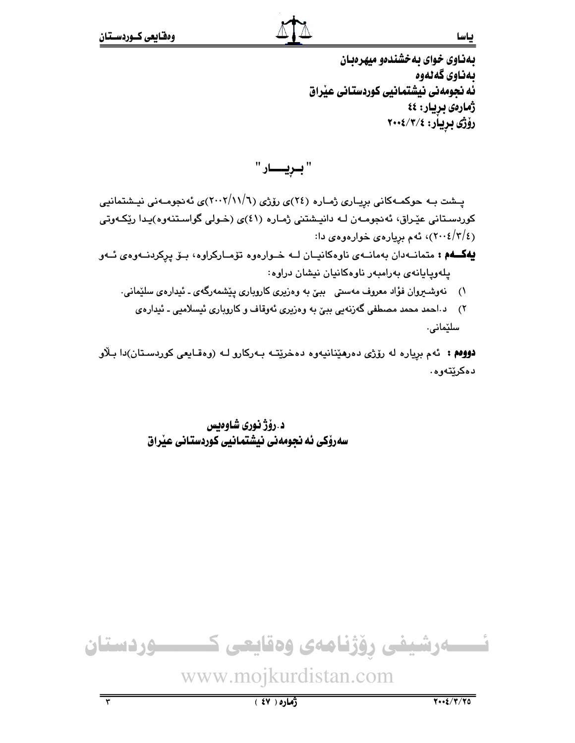بهناوی خوای به خشندهو میهرهبان ىەناوى گەنەوە ئه نجومهني نيشتمانيي كوردستاني عيراق ژمارەي بريار: ٤٤ رۆژى بريار: ٢٠٠٤/٣/٤

" ببريــــار "

یـشت بـه حوکمـهکانی بریـاری ژمـاره (٢٤)ی رۆژی (٢٠١٦/١١/٦)ی ئه نجومـهنی نیـشتمانیی کوردستانی عێراق، ئەنجومـەن لـه دانپـشتنی ژمـاره (٤١)ی (خـولی گواسـتنەوه)پـدا رێِکـەوتی (٢/٤/٤)، ئەم بريارەي خوارەوەي دا:

به کهم : متمانه دان به مانه ی ناوه کانیان له خوارهوه توّمارکراوه، بو پرکردنه وهی ئه و يلەوپايانەي بەرامبەر ناوەكانيان نيشان دراوە:

- ۱) نەوشىيروان فۇاد معروف مەسىتى بېنى بە وەزىرى كاروبارى يَيْشمەرگەي ـ ئىدارەي سلَيْمانى.
	- ٢) د.احمد محمد مصطفى گەزنەيى بېيّ به وەزيرى ئەوقاف و كاروبارى ئيسلاميى ـ ئيدارەي سلێمانی.

**دووم :** ئهم بریاره له رۆژی دهرهیدانیهوه دهخریتـه بـهرکارو لـه (وهقـایعی کوردسـتان)دا بـلاو دەكرێتەوە.

> د.رۆژ نوري شاوەيس سەرۆكى ئە نجومەنى نيشتمانيى كوردستانى عيراق

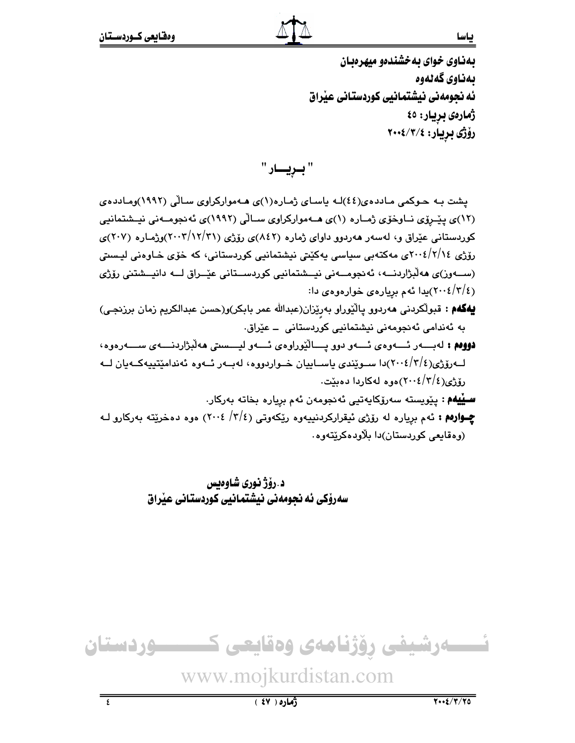بهناوی خوای به خشندهو میهرهبان ىەناوى گەنەوە ئه نجومهنی نیشتمانیی کوردستانی عذراق ژمارەى بريار: ٤٥ رۆژى بريار: ٢٠٠٤/٣/٤

" بـريـــار "

یشت به حـوکمی مـاددهی(٤٤)لـه یاسـای ژمـاره(١)ی هـهموارکراوی سـالّی (١٩٩٢)ومـاددهی (۱۲)ی پیّـرۆی نــاوخوّی ژمــاره (۱)ی هــهموارکراوی ســالّی (۱۹۹۲)ی ئه نجومــهنی نیــشتمانیی کوردستانی عیّراق و، لهسهر ههردوو داوای ژماره (۸٤۲)ی رۆژی (۲۰۰۲/۱۲/۲۱)وژماره (۲۰۷)ی رۆژی ۲۰۰٤/۲/۱٤ مەکتەبى سياسى يەكێتى نيشتمانيى كوردستانى، كە خۆی خـاوەنى ليـستى (ســــەوز)ى ھەلىژاردنــــە، ئەنجومـــەنى نيـــشتمانيى كوردســـتانى عيّــراق لـــە دانيـــشتنى رۆژى (٢٠٠٤/٢/٤)پدا ئهم بريارهي خوارهوهي دا:

- يهكهم : قبولكردني مەردوو پالێوراو بەرێزان(عبدالله عمر بابكر)و(حسن عبدالكريم زمان برزنجي) بە ئەندامى ئەنجومەنى نىشتمانىي كوردستانى \_ عێراق.
- **دووم :** لەبسەر ئسەوەي ئسەو دوق يسالٽوراوەي ئسەو ليسسىتى ھەلىژاردىسەي سىسەرەوە، لــهروزي(٢/٤/٤/٢)دا ســوێندي پاســاييان خــواردووه، لهبــهر ئــهوه ئهندامێتييهكــهيان لــه رۆژى(٢/٢/٤)(٢٠٠٤)موه لەكاردا دەبێت.

**سىييەم** : يۆرپستە سەرۆكاپەتيى ئەنجومەن ئەم بريارە بخاتە بەركار. **چــوارهم :** ئهم بږیاره له رۆژی ئیقرارکردنییهوه رێکهوتی (٢/٤/ ٢٠٠٤) هوه دهخرێته بهرکارو لـه (وهقايعي کوردستان)دا بلاودهکريٽهوه.

> د.رۆژ نوري شاوەيس سەرۆكى ئە نجومەنى نيشتمانيى كوردستانى عيراق



 $\overline{\epsilon}$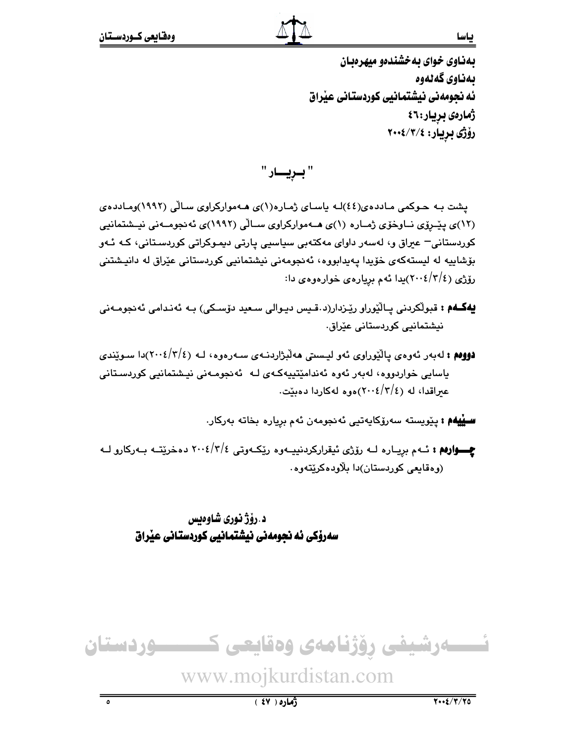ᇰ

بهناوی خوای به خشندهو میهرهبان ىەناوى گەنەوە ئه نحومهني نيشتمانيي كوردستاني عيّراق ژمارەي بريار:٤٦ رۆژى بريار: ٢٠٠٤/٣/٤

" بـريـــار "

یشت به حـوکمی مـاددهی(٤٤)لـه باسـای ژمـاره(١)ی هـهموارکراوی سـالّی (١٩٩٢)ومـاددهی (۱۲)ی پیّـرۆی نــاوخوّی ژمــاره (۱)ی هــهموارکراوی ســالّی (۱۹۹۲)ی ئه نجومــهنی نیــشتمانیی کوردستانی– عیراق و، لهسهر داوای مهکتهبی سیاسیی یارتی دیموکراتی کوردسـتانی، کـه ئـهو بۆشاپیه له لیستهکهی خۆیدا یهیدابووه، ئەنجومەنی نیشتمانیی کوردستانی عیّراق له دانیشتنی رۆژى (٢٠٠٤/٢٠٠٤)يدا ئەم بريارەي خوارەوەي دا:

- **يەگــەم :** قبولْکردنی پـالْيُوراو ريْـزدار(د قـيس ديـوالی سـعيد دۆسـكى) بـه ئەنـدامى ئەنجومـەنى نیشتمانیے کوردستانی عیّراق.
- **دوومم :** لهبهر ئەوەي يالێوراوي ئەو ليسىتى ھەلبژاردنــهى ســەرەوە، لــه (٢٠٠٤/٢/٤)دا سـوێندى یاسایی خواردووه، لەبەر ئەوە ئەندامێتیپەکەی لـه ئەنجومـەنى نیشتمانیی کوردسـتانی عبراقدا، له (٢/٤/٢٠٠٤)،وه لهكاردا دهنت.

**سىييەم :** يۆرپستە سەرۆكاپەتيى ئەنجومەن ئەم بريارە بخاتە بەركار.

**چـــوارهم :** ئــهم بريــاره لــه رۆژى ئيقراركردنييــهوه رێكــهوتى ٢/٤/٢/٤ دمخرێتــه بــهركارو لــه (وەقايعى كوردستان)دا بلاودەكريتەوە.

د.رۆژ نورى شاوەىس سەرۆكى ئە نجومەنى نيشتمانيى كوردستانى عيراق



# www.mojkurdistan.com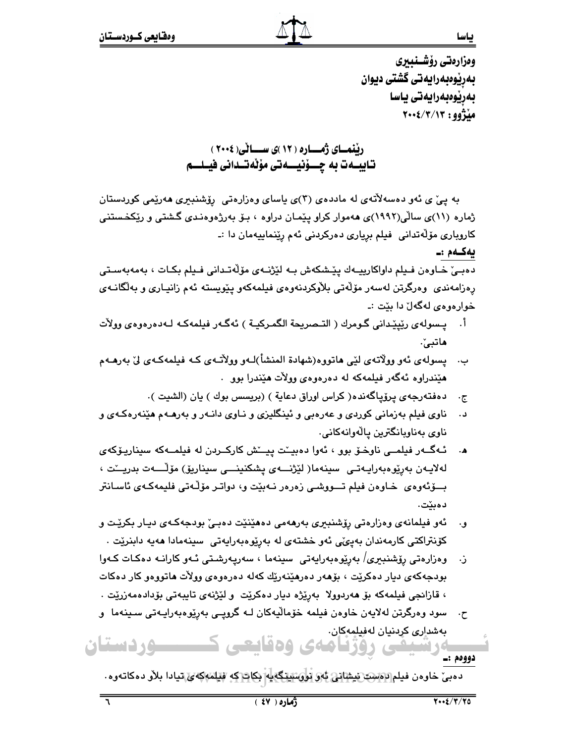يەكـەم :ـ

وەزارەتى رۆشىنىىرى بەرپوەبەرايەتى گشتى ديوان بەرپوەبەرايەتى ياسا  $Y \cdot \frac{2}{3} (Y/Y) Y : 99$ 

رننمسای ژمساره ( ۱۲ )ی سسسانی( ۲۰۰۶ ) تاييــەت بە چـــۆنيـــەتى مۆٽەتــدانى فيــلـــم

به ییّ ی ئەو دەسەلاتەی لە ماددەی (۳)ی یاسای وەزارەتی رۆشنبیری ھەرێمی کوردستان ژماره (۱۱)ی سالّی(۱۹۹۲)ی ههموار کراو پێمـان دراوه ، بـۆ بهرژهوهنـدی گـشتی و رێکخـستنی کاروباری مۆلەتدانى فىلم بريارى دەركردنى ئەم رێنماييەمان دا :ـ

دەبىيّ خـاوەن فـيلم داواكارييــەك يێشكەش بــە لێژنــەي مۆڵەتـدانى فـيلم بكـات ، بەمەبەسـتى رەزامەندى وەرگرتن لەسەر مۆلەتى بلاوكردنەوەي فىلمەكەو يێويستە ئەم زانيـارى و بەلگانـەي خوارهوهي لهگهلٌ دا بێت :۔

- أ. يـسولهي رێيێداني گـومرك ( التـصريحة الگمـركيــة ) ئـهگـهر فيلمهكـه لـهدهرهوهي وولات هاتبيٰ.
- ب. یسولهی ئهو وولاتهی لێی هاتووه(شهادة المنشأ)لـهو وولاّتـهی کـه فیلمهکـهی ليّ بهرهـهم هٽندراوه ئهگهر فيلمهکه له دهرهوهي وولات هٽندرا يوو .
	- دەفتەرجەي پرۆپاگەندە( كراس اوراق دعاية ) (بريسس بوك ) يان (الشيت ).  $\cdot \tau$
- ناوی فیلم بهزمانی کوردی و عهرهبی و ئینگلیزی و نـاوی دانـهر و بهرهـهم هێنهرهکـهی و د . ناوي بەناويانگترين يالەوانەكانى.
- ئـهگــهر فيلمــي ناوخـوّ بوو ، ئهوا دهبيـِـّت پيـِــْش كاركــردن له فيلمــهكه سيناريـوّكهى لەلايـەن بەرپوەبەرايـەتـى سىنەما( لێژنـــەی پشكنىنـــى سىنارىڧى) مۆڵـــەت بدريـــْت ، بِسوِّئُهوهِي خاوهن فيلم تِسووشي زەرەر نـهبيّت و، دواتـر موّلّـهتى فليمهكـهي ئاسـانتر دەىئت.
- ئەو فیلمانەي وەزارەتى رۆشنبىرى بەرھەمى دەھێنێت دەبىێ بودجەكـەي ديـار بكرێت و و. كۆنتراكتى كارمەندان بەيئى ئەو خشتەي لە بەرپوەبەرايەتى سىنەمادا ھەيە دابنريّت .
- ز. وەزارەتى رۆشنېيرى/ بەرێوەبەرايەتى سىينەما ، سەريەرشتى ئـەو كارانـە دەكـات كـەوا بودجهکهی دیار دهکریت ، بۆهەر دەرهیدەریك كەلە دەرەوەی وولات ماتووەو كار دەكات ، قازانجي فيلمەكە بۆ ھەردوولا بەرێژە ديار دەكرێت و لێژنەي تايبەتى بۆدادەمەزرێت .
- سود وەرگرتن لەلايەن خاوەن فيلمە خۆماليەكان لـه گروپـي بەرپوەبەراپـەتى سـينەما و  $\cdot$   $\tau$ بەشدارى كردنيان لەڧىلمەكان. ــــوردستان رۇژنامەي ۋەقايعى خ

دوومم :ـ

دەبى خارەن فىلم ئەسىت ئىشانى ئەر ئورسىنگەيە بكات كە قىلمەكەي تيادا بلار دەكاتەرە

ᆕ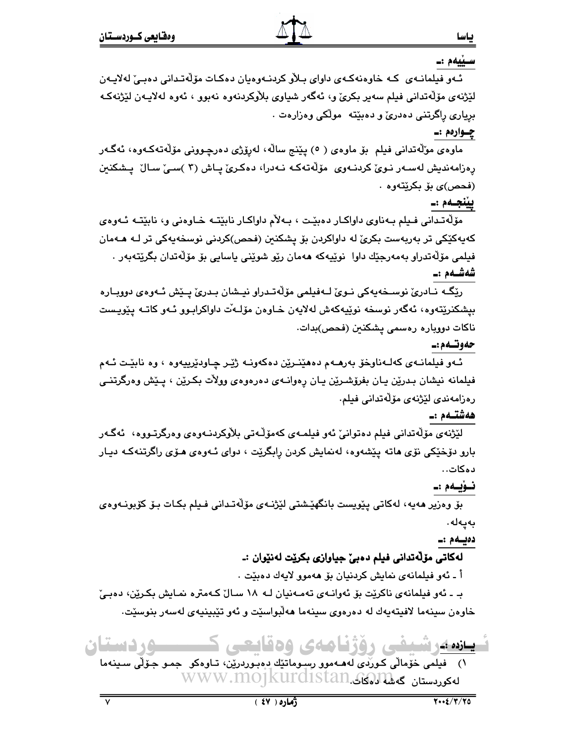#### سـێيەم :ـ

ىاسا

ئـهو فيلمانـهي كـه خاوهنهكـهي داواي بـلأو كردنـهوهيان دهكـات مۆلّەتـدانى دەبـيّ لـهلايـهن لێژنەي مۆلەتدانى فىلم سەير بكرىٰ و، ئەگەر شياوى بلاوكردنەوە نەبوو ، ئەوە لەلايـەن لێژنەكـە برياري راگرتني دهدريّ و دهبێته مولکي وهزارهت .

#### چـوارەم :ـ

ماوەي مۆلەتدانى فيلم بۆ ماوەي ( ٥) يێنج سالْه، لەرۆژى دەرچـوونى مۆلەتەكـەوە، ئەگـەر رەزامەندىش لەسـەر نـویٚ كردنـەوی مۆڵەتـەكـە نـەدرا، دەكـریٰ يـاش (۳ )سـیٰ سـالْ يـشكنين (فحص)*ی* بۆ بکرێتەوە .

#### يينجـەم :\_

مۆلەتىدانى فىيلم بـﻪناوي داواكـار دەبێت ، بـﻪلأم داواكـار نابێتـﻪ خـاوەنى و، نابێتـﻪ ئـﻪوەي کەپەکێکى تر بەريەست بکریّ لە داواکردن بۆ پشکنبن (فحص)کردنى نوسخەپەکى تر لـﻪ ھـﻪمان فيلمي مۆلەتدراو بەمەرجێك داوا نوێيەكە ھەمان رێو شوێنی ياسايی بۆ مۆلەتدان بگرێتەبەر ٠ شەشـەم :\_

رێِگَـه نــادریٚ نوسـخەپەکی نــویٚ لــەفیلمی مۆڵەتــدراو نیــشان بـدریٚ پــێش ئــەوەی دووبــارە بيشكنرێتەوە، ئەگەر نوسخە نوێيەكەش لەلايەن خـاوەن مۆلـەٚت داواكرابـوو ئـەو كاتـە يێويـست ناكات دووباره رەسمى يشكنين (فحص)بدات.

#### حەوتـەم :-

ئـهو فيلمانـهي كهلـهناوخوّ بهرهـهم دههێنـرێن دهكهونـه ژێـر چـاودێرییهوه ، وه نابێـت ئـهم فیلمانه نیشان بـدرێن یـان بفرۆشـرێن یـان رِهوانــهی دهرهوهی وولأت بکـرێن ، پـێش وهرگرتنــی رەزامەندى لێژنەي مۆڵەتدانى فىلم.

## هەشتــەم :ـ

لێڗٝنەي مۆڵەتدانى فىلم دەتوانى، ئەو فىلمـەي كەمۆڵـەتى بلاوكردنـەوەي وەرگرتـووە، ئەگـەر بارو دۆخێکی نۆی هاته پێشەوه، لەنمايش کردن رابگرێت ، دوای ئـهوەی هـۆی راگرتنـهکـه ديـار دەكات..

# نـۆيـەم :ـ

بۆ وەزير ھەيە، لەكاتى يێويست بانگھێشتى لێژنــەي مۆڵەتــدانى فـيلم بكـات بـۆ كۆبونــەوەي بەيەلە.

## دەيسەم :۔

# لهکاتي مۆڵەتدانى فيلم دەبئ جياوازى بكريت لەنێوان :ـ

أ ـ ئەو فيلمانەي نمايش كردنيان بۆ ھەموو لايەك دەبێت .

بـ ـ ئەو فيلمانەي ناكريْت بۆ ئەوانـەي تەمـەنيان لـە ١٨ سـالٌ كـەمترە نمـايش بكـريْن، دەبـيْ خاوەن سينەما لافيتەپەك لە دەرەوي سينەما ھەلّبواسێت و ئەو تێبينيەي لەسەر بنوسێت.

ے دستان ي روزيا صه ي 196 يحيي بازده عدد

۱) فیلمی خۆمالّی کـورّ*دی* لەھـﻪموو رسدوماتێك دەبـوردرێن، تـاوەكو جمـو جـۆلّی سـینەما لەكوردسىتان گەشلەكلە.www.mo1kurd1stan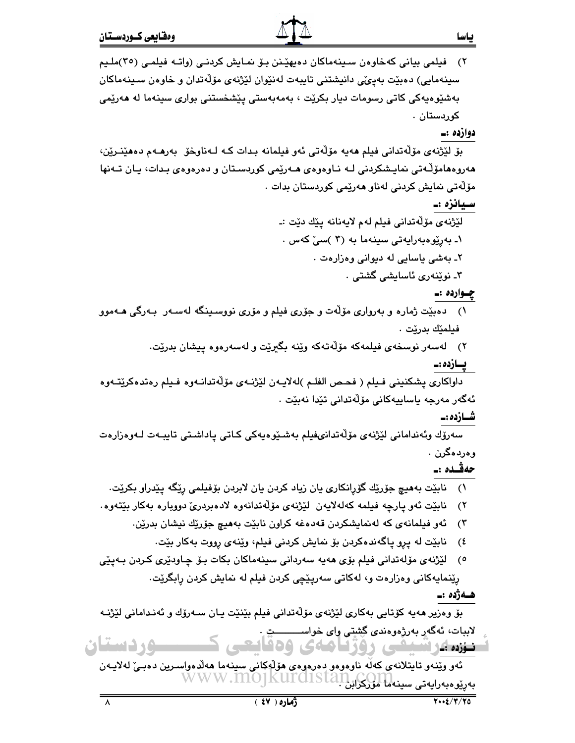٢) فيلمي بياني كەخاوەن سـينەماكان دەپھێـنن بـۆ نمـايش كردنـي (واتـە فيلمـي (٣٥)ملـيم سينهمايي) دەبێت بەيێی دانپشتنی تاپپەت لەنێوان لێژنەی مۆڵەتدان و خاوەن سىپنەماكان بەشێوەپەكى كاتى رسومات ديار بكرێت ، بەمەبەستى يێشخستنى بوارى سينەما لە ھەرێمى كوردستان .

دوازدہ :۔

بِقِ لَيْژْنَهِيَ مَوْلَهُتِدانِي فِيلِم ههيِه موْلُهُتِي ئَهو فِيلِمانِه بِدات كِه لِـهناوخوْ ۖ بِهرهبهم دههينئرين، هەروەھامۆلّـەتى نمايـشكردنى لــه نــاوەوەي ھــەرێمى كوردسـتان و دەرەوەي بـدات، يـان تــەنھا مۆلەتى نمايش كردنى لەنار ھەرێمى كوردستان بدات ٠

سيانزه :۔

لێژنەي مۆلّەتدانى فيلم لەم لايەنانە يێك دێت :ـ ۱ـ بەرێوەبەرايەتى سىنەما بە (۳ )سىٚ كەس . ٢ـ بەشى ياسايى لە دېوانى وەزارەت . ۳ـ نوێنەرى ئاسايشى گشتى ٠

چـوارده :ـ

- ۱) دەبێت ژمارە و بەروارى مۆلّەت و جۆرى فیلم و مۆرى نووسىينگە لەسـەر بـەرگى ھـﻪموو فيلمێك بدرێت ٠
	- ۲) لەسەر نوسخەي فېلمەكە مۆلەتەكە وێنە بگىرێت و لەسەرەوە پېشان بدرێت.

يسازده :۔

داواكاري يشكنيني فـيلم ( فحـص الفلـم )لهلايـهن لێژنـهي مۆلّەتدانـهوه فـيلم رەتدەكرێتـهوه ئەگەر مەرجە ياساييەكانى مۆلەتدانى تێدا نەبێت ٠

شــازده :ــ

سەرۆك وئەندامانى لێژنەي مۆڵەتدانىفيلم بەشىيوەيەكى كـاتى ياداشىتى تايبـەت لـەوەزارەت وەردەگرن .

حەقىدە :\_

- ١) نابێت بەھیچ جۆرێك گۆرانكارى يان زياد كردن يان لابردن بۆفيلمى رێگە يێدراو بكرێت.
- ٢) نابێت ئەو پارچە فيلمە كەلەلايەن لێژنەي مۆڵەتدانەوە لادەبردرێ دووبارە بەكار بێتەوە.
	- ئەو فيلمانەي كە لەنمايشكردن قەدەغە كراون نابێت بەھيچ جۆرێك نيشان بدرێن.  $\mathcal{L}(\mathbf{v})$ 
		- نابيّت له پرو پاگەندەكردن بۆ نمايش كردنى فيلم، ويّنەي رووت بەكار بيّت. ং
- ٥) لَيْژْنەي مۆلەتدانى فيلم بۆي ھەيە سەردانى سىپنەماكان بكات بىۆ چـاودێرى كـردن بـەيێى رِيّنمايهكاني وهزارهت و، لهكاتي سهريِيْچي كردن فيلم له نمايش كردن رابگريّت.

ھـەژدە :ـ

بۆ وەزير ھەيە كۆتايى بەكارى لێژنەي مۆلّەتدانى فيلم بێنێت يـان سـەرۆك و ئەنـدامانى لێژنـﻪ لاببات، ئەگەر بەرژەوەندى گِشتى واى خواســــــــــت ِ ۸. د ستان ی روزنامه ی وه فانگی نغزده عدد انتصاد

ئەو وێنەو تايتلانەي كەلّە ناوەوەو دەرەوەي ھۆلّەكانى سىنەما ھەلدەواسىرين دەبىێ لەلايـەن بەرێوەبەرايەتى سىنەلما لوركراېنMWW.MOJKUrd1Stan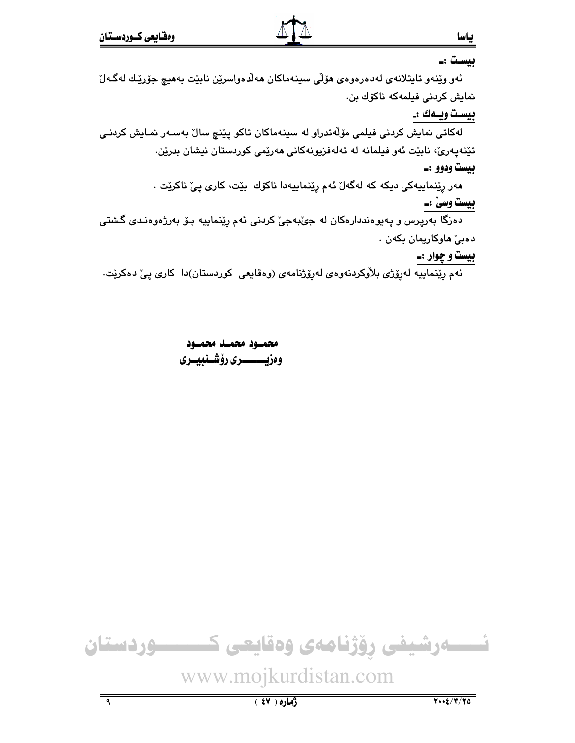#### بیست :\_

ئەو وێنەو تاپتلانەي لەدەرەوەي ھۆلى سىنەماكان ھەلدەواسرێن نابێت بەھىچ جۆرێك لەگەلٚ نمايش كردنى فيلمەكە ناكۆك بن.

#### بيست ويـهك :\_

لەكاتى نمايش كردنى فيلمى مۆلّەتدراو لە سينەماكان تاكو پێنچ سالٚ بەسـەر نمـايش كردنـى تێنەپەرێ، نابێت ئەو فیلمانە لە تەلەفزیونەكانى ھەرێمى كوردستان نیشان بدرێن.

## بيست ودوو :۔

مەر رێنماييەكى ديكە كە لەگەلّ ئەم رێنماييەدا ناكۆك بێت، كارى يىّ ناكرێت .

# بيست وسيٰ :۔

دهزگا بهرپرس و پهپوهنددارهکان له جيٌبهجيٌ کردني ئهم رِپُنماييه بـوٌ بهرژهوهنـدي گـشتي دەبى ھاوكارىمان بكەن .

#### بیست و چوار :۔

ئهم رِپێماييه لهڕۆژى بلاْوكردنەوەي لەرۆژنامەي (وەقايعى كوردستان)دا كارى پيّ دەكرێت.

محمسود محمسد محمسود وەزيـــــــــرى رۆشــنبيــرى

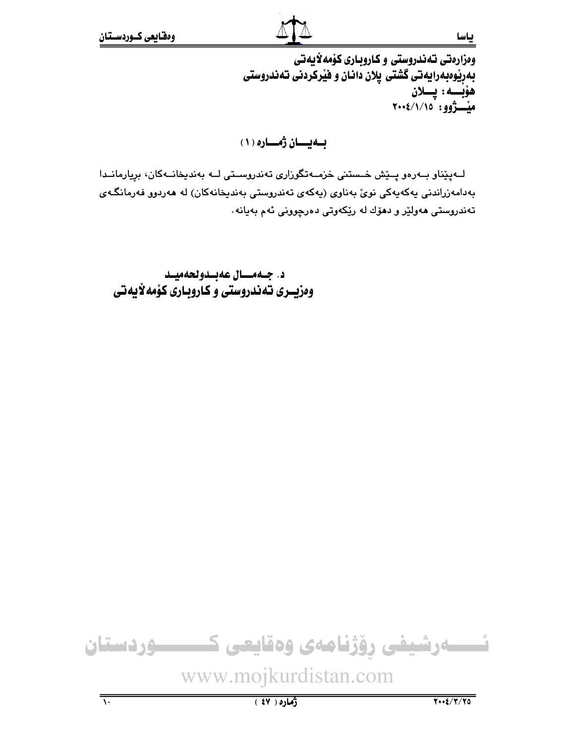ومزارهتي تهندروستي و كاروباري كۆمەلايەتى بهرِيْوەبەرايەتى گشتى پلان دانـان و فيْركردنى تەندروستى هۆبــــه : پــــلان<br>مێـــــژوو : ۲۰۰٤/۱/۱۵

بهيسان رهساره (١)

لــهيٽناو بــهرەو پــێش خــستنى خزمــهتگوزارى تەندروســتى لــه بەندىخانــهكان، بريارمانــدا بەدامەزراندنى يەكەپەكى نوئ بەناوى (پەكەي تەندروستى بەندېخانەكان) لە ھەردوو فەرمانگەي .<br>تەندروستى ھەولێر و دھۆك لە رێِكەوتى دەرچوونى ئەم بەيانە

د. جـهمــال عهبـدولحهميـد وهزیــری تـهندروستی و کـاروبـاری کوْمه لایه تی

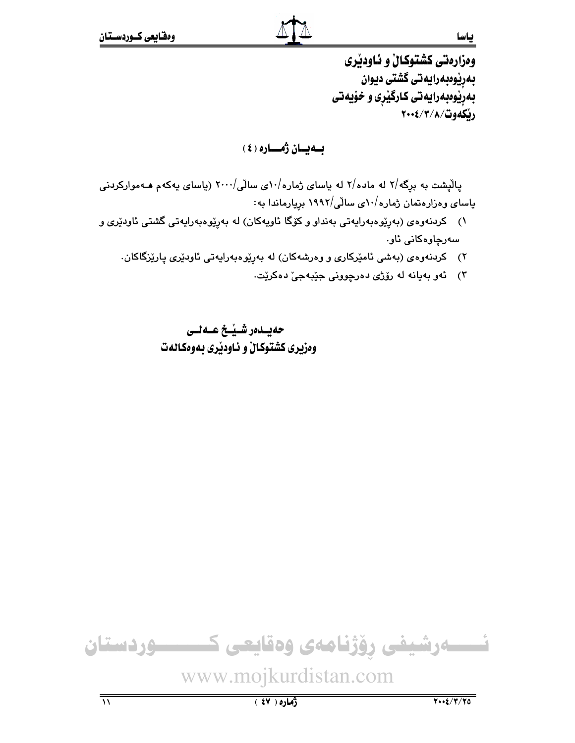وهزارهتي كشتوكال و ئـاودێري بەرێوەبەرايەتى گشتى ديوان بهرپیوهبهرایهتی کارگیری و خویهتی رنكەوت/٢/٢/٢-٢٠٠٤

بــەيــان ژەـــارە ( ٤ )

یالیشت به برگه/۲ له ماده/۲ له یاسای ژماره/۵۰ ی سالّی/۲۰۰۰ (یاسای یهکهم هـهموارکردنی یاسای وهزارهتمان ژماره/۱۰ی سالی/۱۹۹۲ بریارماندا به:

- ۱) کردنهوهی (بهږێوهبهرایهتی بهنداو و کۆگا ئاویهکان) له بهڕێوهبهرایهتی گشتی ئاودێری و سەرچاۋەكانى ئاق
	- ۲) کردنهوهی (بهشی ئامیرکاری و وهرشهکان) له بهریوهبهرایهتی ئاودیری پاریزگاکان.
		- ٣) ئەو بەيانە لە رۆژى دەرچوونى جێبەجىٚ دەكرێت.

حەيىدەر شىيغ عىەلىي وەزىرى كشتوكالْ و ئـاودىرى بـەوەكـالەت

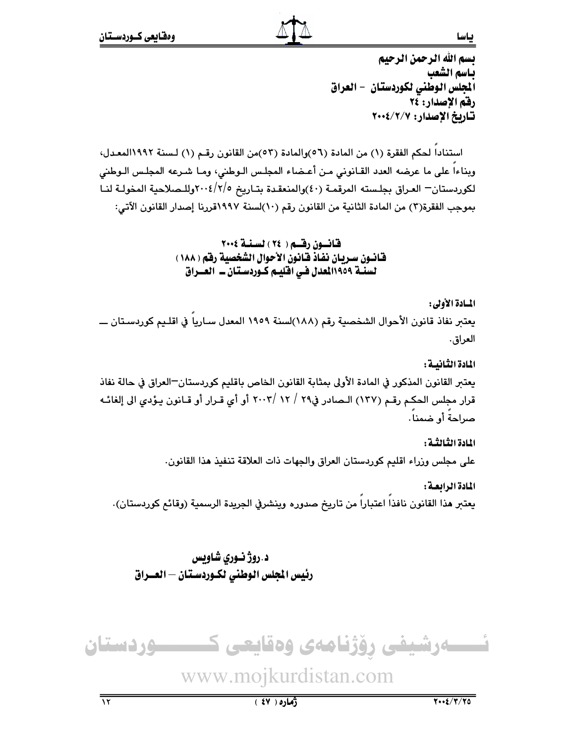تسم الله الرحمن الرحيم باسم الشعب المجلس الوطني لكوردستان – العراق رفق الإصدار: ٢٤ تاريخ الإصدار: ٢٠٠٤/٢/٠٠٤

استناداً لحكم الفقرة (١) من المادة (٥٦)والمادة (٥٣)من القانون رقم (١) لسنة ١٩٩٢المعدل، وبناءا على ما عرضه العدد القـانوني مـن أعـضاء المجلـس الـوطني، ومـا شـرعه المجلـس الـوطني لكوردستان— العراق بجلسته المرقمـة (٤٠)والمنعقـدة بتـاريخ ٢٠٠٤/٢/٥كوللـصلاحية المخولـة لنـا بموجب الفقرة(٣) من المادة الثانية من القانون رقم (١٠)لسنة ١٩٩٧قررنا إصدار القانون الآتي:

> قانسون رقسم ( ٢٤ ) لسنة ٢٠٠٤ فانــون ســربـان نفـاذ فـانـون الأحوال الشخصية رفـّم ( ١٨٨ ) لسنـة ١١٩٥٩للعدل فـي افليـم كـوردسـتـان ــ العـــراق

> > المسادة الأولى :

يعتبر نفاذ قانون الأحوال الشخصية رقم (١٨٨)لسنة ١٩٥٩ المعدل سـارياً في اقلـيم كوردسـتان ــــ العراق.

المادة الثنانسة : يعتبر القانون المذكور في المادة الأولى بمثابة القانون الخاص باقليم كوردستان—العراق في حالة نفاذ قرار مجلس الحكم رقم (١٣٧) الـصادر في٢٩ / ١٢ /٢٠٠٣ أو أي قـرار أو قـانون يـؤدي الى إلغائـه صراحة أو ضمنا.

> المادة الثَّالثُّة : على مجلس وزراء اقليم كوردستان العراق والجهات ذات العلاقة تنفيذ هذا القانون.

المادة الرابعة : يعتبر هذا القانون نافذا اعتبارا من تاريخ صدوره وينشرفي الجريدة الرسمية (وقائع كوردستان).

د .روژ نوري شاويس رئيس الجلس الوطني لكـوردسـتان – العــراق



www.mojkurdistan.com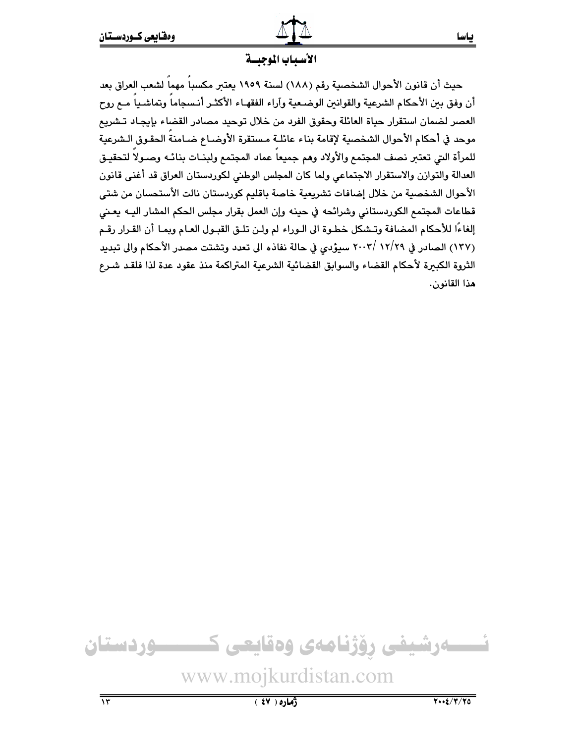#### الأسيباب الموحيسة

حيث أن قانون الأحوال الشخصية رقم (١٨٨) لسنة ١٩٥٩ يعتبر مكسباً مهماً لشعب العراق بعد أن وفق بين الأحكام الشرعية والقوانين الوضـعية وآراء الفقهـاء الأكثـر أنـسجاماً وتماشـياً مـع روح العصر لضمان استقرار حياة العائلة وحقوق الفرد من خلال توحيد مصادر القضاء بإيجاد تـشريع موحد فى أحكام الأحوال الشخصية لإقامة بناء عائلـة مستقرة الأوضـاع ضـامنةُ الحقـوق الـشرعية للمرأة التى تعتبر نصف المجتمع والأولاد وهم جميعاً عماد المجتمع ولبنــات بنائــه وصــولاً لتحقيـق العدالة والتوازن والاستقرار الاجتماعي ولما كان المجلس الوطني لكوردستان العراق قد أغنى قانون الأحوال الشخصية من خلال إضافات تشريعية خاصة باقليم كوردستان نالت الأستحسان من شتى قطاعات المجتمع الكوردستاني وشرائحه في حينه وإن العمل بقرار مجلس الحكم المشار اليـه يعـني إلغاءًا للأحكام المضافة وتـشكل خطـوة الى الـوراء لم ولـن تلـق القبـول العـام ويمـا أن القـرار رقـم (١٣٧) الصادر في ١٢/٢٩ /٢٠٠٣ سيؤدي في حالة نفاذه الى تعدد وتشتت مصدر الأحكام والى تبديد الثروة الكبيرة لأحكام القضاء والسوابق القضائية الشرعية المتراكمة منذ عقود عدة لذا فلقد شرع هذا القانون.

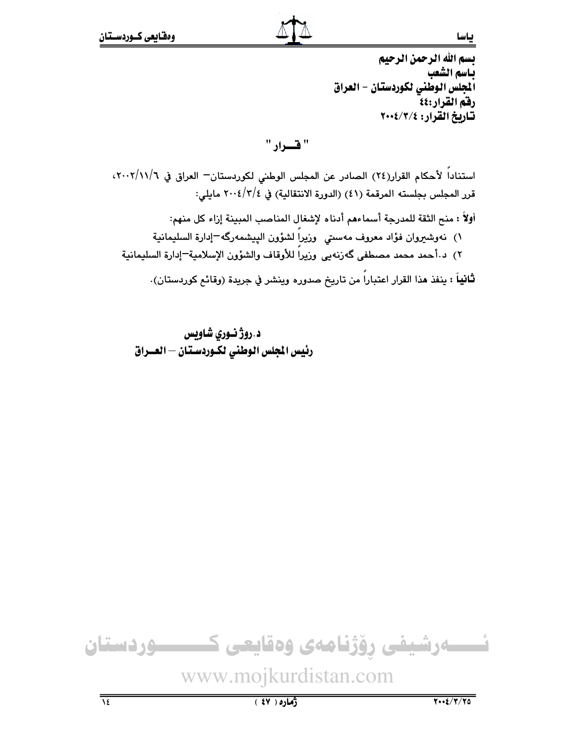يسم الله الرحمن الرحيم باسم الشعب المجلس الوطني لكوردستان – العراق رفقم القرار:٤٤ تاريخ القرار: ٢٠٠٤/٣/٤

" فسواد "

استناداً لأحكام القرار(٢٤) الصادر عن المجلس الوطني لكوردستان— العراق في ٢٠٠٢/١١/٦، قرر المجلس بجلسته المرقمة (٤١) (الدورة الانتقالية) في ٢٠٠٤/٣/٤ مايلي: أولاً : منح الثقة للمدرجة أسماءهم أدناه لإشغال المناصب المبينة إزاء كل منهم: ١) نەوشىروان فؤاد معروف مەسىتى وزيراً لشؤون الپيشمەرگە−إدارة السليمانية ٢) د أحمد محمد مصطفى گەزنەيى وزيراً للأوقاف والشؤون الإسلامية=إدارة السليمانية ثانياً : ينفذ هذا القرار اعتباراً من تاريخ صدوره وينشر في جريدة (وقائع كوردستان).

د .روژ نوری شاویس رئيس المجلس الوطني لكـوردسـتان – العــراق

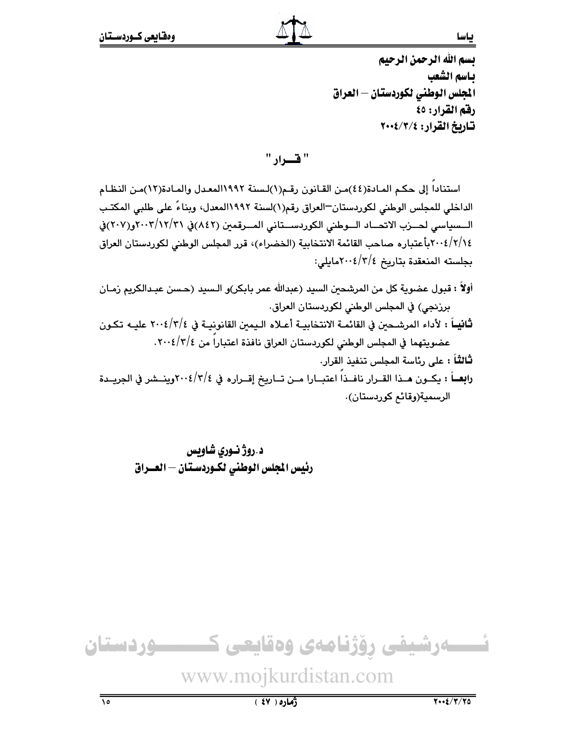يسم الله الرحمن الرحيم ياسم الشعب الجلس الوطني لكوردستان — العراق رفق القرار: ٤٥ تاريخ القرار: ٢٠٠٤/٣/٤

" قسوار "

استناداً إلى حكم المـادة(٤٤)مـن القـانون رقـم(١)لـسنة ١٩٩٢المعـدل والمـادة(١٢)مـن النظـام الداخلي للمجلس الوطني لكوردستان—العراق رقم(١)لسنة ١٩٩٢المعدل، وبناءً على طلبي المكتب الــسياسي لحــزب الاتحــاد الــوطني الكوردســتاني المــرقمين (٨٤٢)في ٢٠٠٢/١٢/٣١و(٢٠٧)في ٢٠٠٤/٢/١٤ متباره صاحب القائمة الانتخابية (الخضراء)، قرر المجلس الوطني لكوردستان العراق بجلسته المنعقدة بتاريخ ٢/٢/٤<٢٠٠مايلي:

- أولاً : قبول عضوية كل من المرشحين السيد (عبدالله عمر بابكر)و الـسيد (حـسن عبـدالكريم زمـان برزنجي) في المجلس الوطني لكوردستان العراق.
- ثَانِيــاً : لأداء المرشــحين في القائمــة الانتخابيــة أعــلاه الـيمين القانونيــة في ٢/٤/٢/٤ عليــه تكـون عضويتهما في المجلس الوطني لكوردستان العراق نافذة اعتباراً من ١٢/٤/٢٠٤.

**ثالثاً :** على رئاسة المجلس تنفيذ القرار.

رابِعــاً : يكــون هــذا القــرار نافــذاً اعتبــارا مــن تــاريخ إقــراره في ٢٠٠٤/٣/٤ وينــشر في الجريــدة الرسمية(وقائم كوردستان).

د.روژنسوری شاویس رئيس المجلس الوطني لكـوردسـتان – العــراق